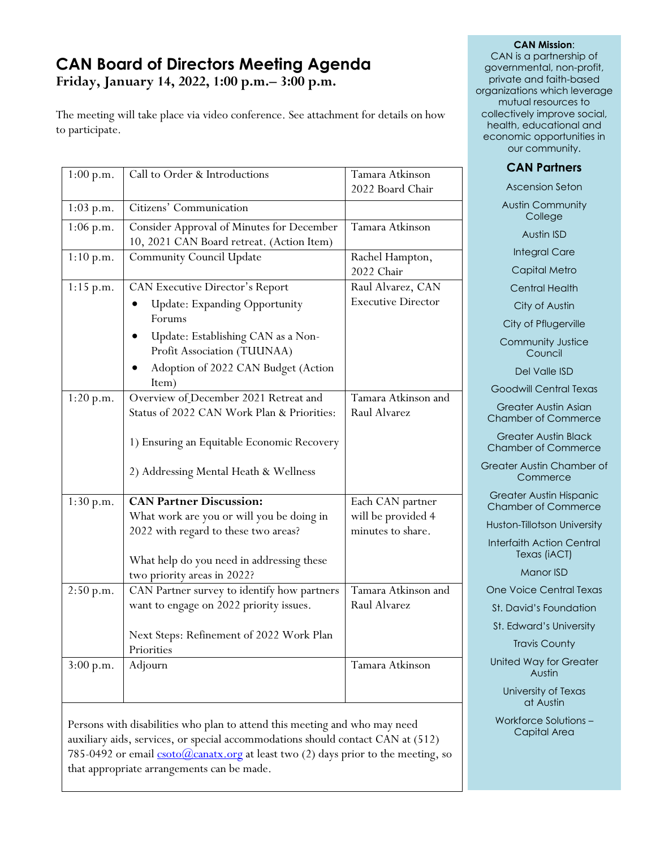# **CAN Board of Directors Meeting Agenda Friday, January 14, 2022, 1:00 p.m.– 3:00 p.m.**

The meeting will take place via video conference. See attachment for details on how to participate.

| 1:00 p.m.   | Call to Order & Introductions                                                                                                                                                                                 | Tamara Atkinson<br>2022 Board Chair                         |
|-------------|---------------------------------------------------------------------------------------------------------------------------------------------------------------------------------------------------------------|-------------------------------------------------------------|
| 1:03 p.m.   | Citizens' Communication                                                                                                                                                                                       |                                                             |
| $1:06$ p.m. | Consider Approval of Minutes for December<br>10, 2021 CAN Board retreat. (Action Item)                                                                                                                        | Tamara Atkinson                                             |
| 1:10 p.m.   | <b>Community Council Update</b>                                                                                                                                                                               | Rachel Hampton,<br>2022 Chair                               |
| 1:15 p.m.   | <b>CAN Executive Director's Report</b><br><b>Update: Expanding Opportunity</b><br>Forums<br>Update: Establishing CAN as a Non-<br>Profit Association (TUUNAA)<br>Adoption of 2022 CAN Budget (Action<br>Item) | Raul Alvarez, CAN<br><b>Executive Director</b>              |
| 1:20 p.m.   | Overview of December 2021 Retreat and<br>Status of 2022 CAN Work Plan & Priorities:<br>1) Ensuring an Equitable Economic Recovery<br>2) Addressing Mental Heath & Wellness                                    | Tamara Atkinson and<br>Raul Alvarez                         |
| 1:30 p.m.   | <b>CAN Partner Discussion:</b><br>What work are you or will you be doing in<br>2022 with regard to these two areas?<br>What help do you need in addressing these<br>two priority areas in 2022?               | Each CAN partner<br>will be provided 4<br>minutes to share. |
| 2:50 p.m.   | CAN Partner survey to identify how partners<br>want to engage on 2022 priority issues.<br>Next Steps: Refinement of 2022 Work Plan<br>Priorities                                                              | Tamara Atkinson and<br>Raul Alvarez                         |
| 3:00 p.m.   | Adjourn                                                                                                                                                                                                       | Tamara Atkinson                                             |

Persons with disabilities who plan to attend this meeting and who may need auxiliary aids, services, or special accommodations should contact CAN at (512) 785-0492 or email  $\frac{\text{csoto}(Q)\text{canatx.org}}{Q}$  at least two (2) days prior to the meeting, so that appropriate arrangements can be made.

#### **CAN Mission**:

CAN is a partnership of governmental, non-profit, private and faith-based organizations which leverage mutual resources to collectively improve social, health, educational and economic opportunities in our community.

### **CAN Partners**

Ascension Seton Austin Community **College** Austin ISD Integral Care Capital Metro Central Health City of Austin City of Pflugerville Community Justice Council Del Valle ISD Goodwill Central Texas Greater Austin Asian Chamber of Commerce Greater Austin Black Chamber of Commerce Greater Austin Chamber of **Commerce** Greater Austin Hispanic Chamber of Commerce Huston-Tillotson University Interfaith Action Central Texas (iACT) Manor ISD One Voice Central Texas St. David's Foundation St. Edward's University Travis County United Way for Greater Austin

> University of Texas at Austin

Workforce Solutions – Capital Area